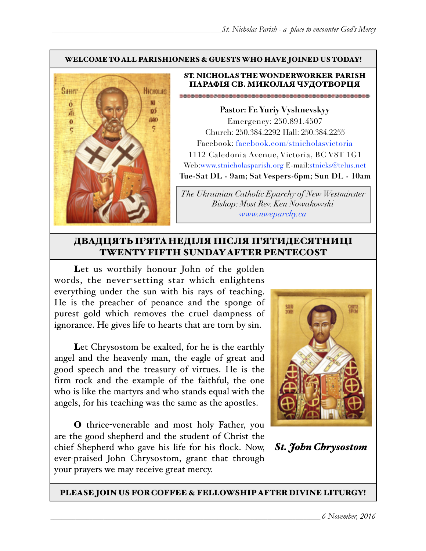#### WELCOME TO ALL PARISHIONERS & GUESTS WHO HAVE JOINED US TODAY!



#### ST. NICHOLAS THE WONDERWORKER PARISH ПАРАФІЯ СВ. МИКОЛАЯ ЧУДОТВОРЦЯ

**Pastor: Fr. Yuriy Vyshnevskyy** Emergency: 250.891.4507 Church: 250.384.2292 Hall: 250.384.2255 Facebook: facebook.com/stnicholasvictoria 1112 Caledonia Avenue, Victoria, BC V8T 1G1 Web[:www.stnicholasparish.org](http://www.stnicholasparish.org) E-mail:[stnicks@telus.net](mailto:stnicks@telus.net) **Tue-Sat DL - 9am; Sat Vespers-6pm; Sun DL - 10am**

*The Ukrainian Catholic Eparchy of New Westminster Bishop: Most Rev. Ken Nowakowski [www.nweparchy.ca](http://www.nweparchy.ca)*

### ДВАДЦЯТЬ П'ЯТАНЕДІЛЯ ПІСЛЯ П'ЯТИДЕСЯТНИЦІ TWENTY FIFTH SUNDAY AFTER PENTECOST

Let us worthily honour John of the golden words, the never-setting star which enlightens everything under the sun with his rays of teaching. He is the preacher of penance and the sponge of purest gold which removes the cruel dampness of ignorance. He gives life to hearts that are torn by sin.

Let Chrysostom be exalted, for he is the earthly angel and the heavenly man, the eagle of great and good speech and the treasury of virtues. He is the firm rock and the example of the faithful, the one who is like the martyrs and who stands equal with the angels, for his teaching was the same as the apostles.

O thrice-venerable and most holy Father, you are the good shepherd and the student of Christ the chief Shepherd who gave his life for his flock. Now, ever-praised John Chrysostom, grant that through your prayers we may receive great mercy.



*St. John Chrysostom*

PLEASE JOIN US FOR COFFEE & FELLOWSHIP AFTER DIVINE LITURGY!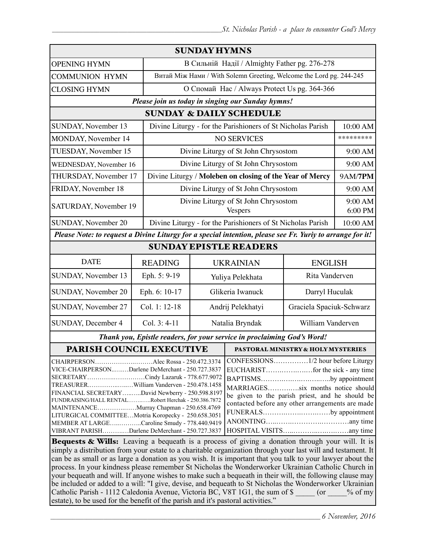| <b>SUNDAY HYMNS</b>                                                                                                                                                                                                                                                                                                                                                                                                                                                                               |                |                                                                     |                                                                                                                                                                                              |                          |          |  |  |
|---------------------------------------------------------------------------------------------------------------------------------------------------------------------------------------------------------------------------------------------------------------------------------------------------------------------------------------------------------------------------------------------------------------------------------------------------------------------------------------------------|----------------|---------------------------------------------------------------------|----------------------------------------------------------------------------------------------------------------------------------------------------------------------------------------------|--------------------------|----------|--|--|
| <b>OPENING HYMN</b>                                                                                                                                                                                                                                                                                                                                                                                                                                                                               |                | В Сильній Надії / Almighty Father pg. 276-278                       |                                                                                                                                                                                              |                          |          |  |  |
| <b>COMMUNION HYMN</b>                                                                                                                                                                                                                                                                                                                                                                                                                                                                             |                | Витай Між Нами / With Solemn Greeting, Welcome the Lord pg. 244-245 |                                                                                                                                                                                              |                          |          |  |  |
| <b>CLOSING HYMN</b>                                                                                                                                                                                                                                                                                                                                                                                                                                                                               |                | О Спомай Нас / Always Protect Us pg. 364-366                        |                                                                                                                                                                                              |                          |          |  |  |
| Please join us today in singing our Sunday hymns!                                                                                                                                                                                                                                                                                                                                                                                                                                                 |                |                                                                     |                                                                                                                                                                                              |                          |          |  |  |
| <b>SUNDAY &amp; DAILY SCHEDULE</b>                                                                                                                                                                                                                                                                                                                                                                                                                                                                |                |                                                                     |                                                                                                                                                                                              |                          |          |  |  |
| SUNDAY, November 13<br>Divine Liturgy - for the Parishioners of St Nicholas Parish                                                                                                                                                                                                                                                                                                                                                                                                                |                |                                                                     |                                                                                                                                                                                              |                          | 10:00 AM |  |  |
| MONDAY, November 14                                                                                                                                                                                                                                                                                                                                                                                                                                                                               |                |                                                                     | <b>NO SERVICES</b>                                                                                                                                                                           |                          |          |  |  |
| TUESDAY, November 15                                                                                                                                                                                                                                                                                                                                                                                                                                                                              |                |                                                                     | Divine Liturgy of St John Chrysostom                                                                                                                                                         |                          | 9:00 AM  |  |  |
| WEDNESDAY, November 16                                                                                                                                                                                                                                                                                                                                                                                                                                                                            |                | Divine Liturgy of St John Chrysostom                                |                                                                                                                                                                                              |                          |          |  |  |
| THURSDAY, November 17                                                                                                                                                                                                                                                                                                                                                                                                                                                                             |                | Divine Liturgy / Moleben on closing of the Year of Mercy            |                                                                                                                                                                                              | <b>9AM/7PM</b>           |          |  |  |
| FRIDAY, November 18                                                                                                                                                                                                                                                                                                                                                                                                                                                                               |                | Divine Liturgy of St John Chrysostom                                |                                                                                                                                                                                              |                          | 9:00 AM  |  |  |
| SATURDAY, November 19                                                                                                                                                                                                                                                                                                                                                                                                                                                                             |                | Divine Liturgy of St John Chrysostom<br><b>Vespers</b>              |                                                                                                                                                                                              | 9:00 AM<br>6:00 PM       |          |  |  |
| SUNDAY, November 20                                                                                                                                                                                                                                                                                                                                                                                                                                                                               |                | Divine Liturgy - for the Parishioners of St Nicholas Parish         |                                                                                                                                                                                              | 10:00 AM                 |          |  |  |
| Please Note: to request a Divine Liturgy for a special intention, please see Fr. Yuriy to arrange for it!                                                                                                                                                                                                                                                                                                                                                                                         |                |                                                                     |                                                                                                                                                                                              |                          |          |  |  |
| <b>SUNDAY EPISTLE READERS</b>                                                                                                                                                                                                                                                                                                                                                                                                                                                                     |                |                                                                     |                                                                                                                                                                                              |                          |          |  |  |
| <b>DATE</b>                                                                                                                                                                                                                                                                                                                                                                                                                                                                                       | <b>READING</b> |                                                                     | <b>UKRAINIAN</b><br><b>ENGLISH</b>                                                                                                                                                           |                          |          |  |  |
| SUNDAY, November 13                                                                                                                                                                                                                                                                                                                                                                                                                                                                               | Eph. 5: 9-19   |                                                                     | Rita Vanderven<br>Yuliya Pelekhata                                                                                                                                                           |                          |          |  |  |
| SUNDAY, November 20                                                                                                                                                                                                                                                                                                                                                                                                                                                                               | Eph. 6: 10-17  | Glikeria Iwanuck                                                    |                                                                                                                                                                                              | Darryl Huculak           |          |  |  |
| SUNDAY, November 27                                                                                                                                                                                                                                                                                                                                                                                                                                                                               | Col. 1: 12-18  | Andrij Pelekhatyi                                                   |                                                                                                                                                                                              | Graciela Spaciuk-Schwarz |          |  |  |
| SUNDAY, December 4                                                                                                                                                                                                                                                                                                                                                                                                                                                                                | Col. $3: 4-11$ | William Vanderven<br>Natalia Bryndak                                |                                                                                                                                                                                              |                          |          |  |  |
| Thank you, Epistle readers, for your service in proclaiming God's Word!                                                                                                                                                                                                                                                                                                                                                                                                                           |                |                                                                     |                                                                                                                                                                                              |                          |          |  |  |
| PARISH COUNCIL EXECUTIVE                                                                                                                                                                                                                                                                                                                                                                                                                                                                          |                |                                                                     | <b>PASTORAL MINISTRY &amp; HOLY MYSTERIES</b>                                                                                                                                                |                          |          |  |  |
| CHAIRPERSONAlec Rossa - 250.472.3374<br>VICE-CHAIRPERSONDarlene DeMerchant - 250.727.3837<br>SECRETARYCindy Lazaruk - 778.677.9072<br>TREASURERWilliam Vanderven - 250.478.1458<br>FINANCIAL SECRETARYDavid Newberry - 250.598.8197<br>FUNDRAISING/HALL RENTALRobert Herchak - 250.386.7872<br>MAINTENANCEMurray Chapman - 250.658.4769<br>LITURGICAL COMMITTEEMotria Koropecky - 250.658.3051<br>MEMBER AT LARGECaroline Smudy - 778.440.9419<br>VIBRANT PARISHDarlene DeMerchant - 250.727.3837 |                |                                                                     | BAPTISMSby appointment<br>MARRIAGESsix months notice should<br>be given to the parish priest, and he should be<br>contacted before any other arrangements are made<br>FUNERALSby appointment |                          |          |  |  |
| <b>Bequests &amp; Wills:</b> Leaving a bequeath is a process of giving a donation through your will. It is                                                                                                                                                                                                                                                                                                                                                                                        |                |                                                                     |                                                                                                                                                                                              |                          |          |  |  |

Bequests & Wills: Leaving a bequeath is a process of giving a donation through your will. It is simply a distribution from your estate to a charitable organization through your last will and testament. It can be as small or as large a donation as you wish. It is important that you talk to your lawyer about the process. In your kindness please remember St Nicholas the Wonderworker Ukrainian Catholic Church in your bequeath and will. If anyone wishes to make such a bequeath in their will, the following clause may be included or added to a will: "I give, devise, and bequeath to St Nicholas the Wonderworker Ukrainian Catholic Parish - 1112 Caledonia Avenue, Victoria BC, V8T 1G1, the sum of \$  $\qquad \qquad$  (or  $\qquad \qquad$  % of my estate), to be used for the benefit of the parish and it's pastoral activities."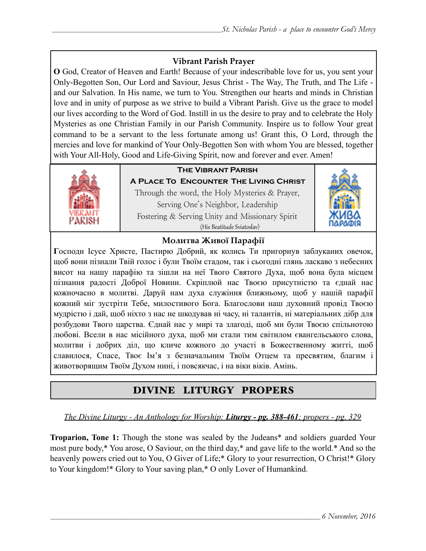## **Vibrant Parish Prayer**

**O** God, Creator of Heaven and Earth! Because of your indescribable love for us, you sent your Only-Begotten Son, Our Lord and Saviour, Jesus Christ - The Way, The Truth, and The Life and our Salvation. In His name, we turn to You. Strengthen our hearts and minds in Christian love and in unity of purpose as we strive to build a Vibrant Parish. Give us the grace to model our lives according to the Word of God. Instill in us the desire to pray and to celebrate the Holy Mysteries as one Christian Family in our Parish Community. Inspire us to follow Your great command to be a servant to the less fortunate among us! Grant this, O Lord, through the mercies and love for mankind of Your Only-Begotten Son with whom You are blessed, together with Your All-Holy, Good and Life-Giving Spirit, now and forever and ever. Amen!



# **The Vibrant Parish**

**A Place To Encounter The Living Christ** Through the word, the Holy Mysteries & Prayer, Serving One's Neighbor, Leadership Fostering & Serving Unity and Missionary Spirit (His Beatitude Sviatoslav)



## **Молитва Живої Парафії**

**Г**осподи Ісусе Христе, Пастирю Добрий, як колись Ти пригорнув заблуканих овечок, щоб вони пізнали Твій голос і були Твоїм стадом, так і сьогодні глянь ласкаво з небесних висот на нашу парафію та зішли на неї Твого Святого Духа, щоб вона була місцем пізнання радості Доброї Новини. Скріплюй нас Твоєю присутністю та єднай нас кожночасно в молитві. Даруй нам духа служіння ближньому, щоб у нашій парафії кожний міг зустріти Тебе, милостивого Бога. Благослови наш духовний провід Твоєю мудрістю і дай, щоб ніхто з нас не шкодував ні часу, ні талантів, ні матеріальних дібр для розбудови Твого царства. Єднай нас у мирі та злагоді, щоб ми були Твоєю спільнотою любові. Всели в нас місійного духа, щоб ми стали тим світилом євангельського слова, молитви і добрих діл, що кличе кожного до участі в Божественному житті, щоб славилося, Спасе, Твоє Ім'я з безначальним Твоїм Отцем та пресвятим, благим і животворящим Твоїм Духом нині, і повсякчас, і на віки віків. Амінь.

# DIVINE LITURGY PROPERS

## *The Divine Liturgy - An Anthology for Worship: Liturgy - pg. 388-461; propers - pg. 329*

**Troparion, Tone 1:** Though the stone was sealed by the Judeans\* and soldiers guarded Your most pure body,\* You arose, O Saviour, on the third day,\* and gave life to the world.\* And so the heavenly powers cried out to You, O Giver of Life;\* Glory to your resurrection, O Christ!\* Glory to Your kingdom!\* Glory to Your saving plan,\* O only Lover of Humankind.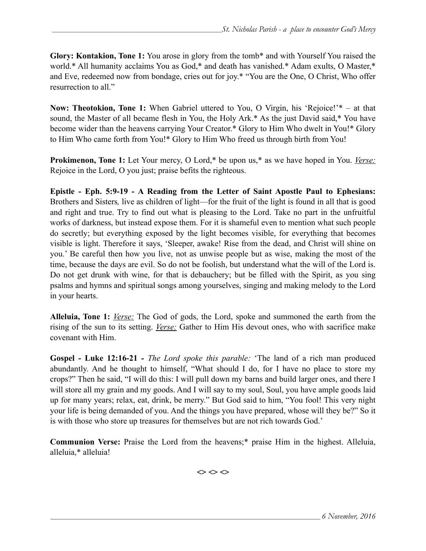**Glory: Kontakion, Tone 1:** You arose in glory from the tomb\* and with Yourself You raised the world.\* All humanity acclaims You as God,\* and death has vanished.\* Adam exults, O Master,\* and Eve, redeemed now from bondage, cries out for joy.\* "You are the One, O Christ, Who offer resurrection to all."

**Now: Theotokion, Tone 1:** When Gabriel uttered to You, O Virgin, his 'Rejoice!'\* – at that sound, the Master of all became flesh in You, the Holy Ark.\* As the just David said,\* You have become wider than the heavens carrying Your Creator.\* Glory to Him Who dwelt in You!\* Glory to Him Who came forth from You!\* Glory to Him Who freed us through birth from You!

**Prokimenon, Tone 1:** Let Your mercy, O Lord,\* be upon us,\* as we have hoped in You. *Verse:* Rejoice in the Lord, O you just; praise befits the righteous.

**Epistle - Eph. 5:9-19 - A Reading from the Letter of Saint Apostle Paul to Ephesians:** Brothers and Sisters*,* live as children of light—for the fruit of the light is found in all that is good and right and true. Try to find out what is pleasing to the Lord. Take no part in the unfruitful works of darkness, but instead expose them. For it is shameful even to mention what such people do secretly; but everything exposed by the light becomes visible, for everything that becomes visible is light. Therefore it says, 'Sleeper, awake! Rise from the dead, and Christ will shine on you.' Be careful then how you live, not as unwise people but as wise, making the most of the time, because the days are evil. So do not be foolish, but understand what the will of the Lord is. Do not get drunk with wine, for that is debauchery; but be filled with the Spirit, as you sing psalms and hymns and spiritual songs among yourselves, singing and making melody to the Lord in your hearts.

**Alleluia, Tone 1:** *Verse:* The God of gods, the Lord, spoke and summoned the earth from the rising of the sun to its setting. *Verse:* Gather to Him His devout ones, who with sacrifice make covenant with Him.

**Gospel - Luke 12:16-21** *- The Lord spoke this parable:* 'The land of a rich man produced abundantly. And he thought to himself, "What should I do, for I have no place to store my crops?" Then he said, "I will do this: I will pull down my barns and build larger ones, and there I will store all my grain and my goods. And I will say to my soul, Soul, you have ample goods laid up for many years; relax, eat, drink, be merry." But God said to him, "You fool! This very night your life is being demanded of you. And the things you have prepared, whose will they be?" So it is with those who store up treasures for themselves but are not rich towards God.'

**Communion Verse:** Praise the Lord from the heavens;\* praise Him in the highest. Alleluia, alleluia,\* alleluia!

 $\Leftrightarrow$   $\Leftrightarrow$   $\Leftrightarrow$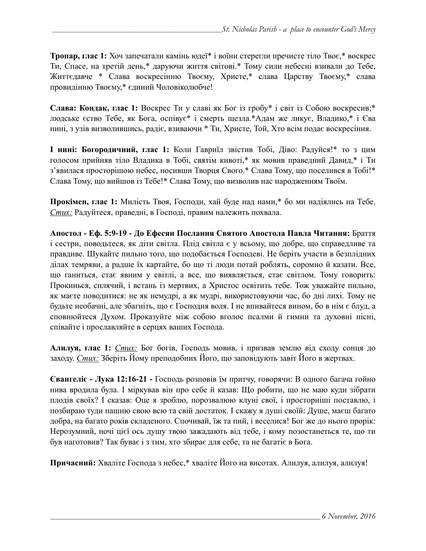**Тропар, глас 1:** Хоч запечатали камінь юдеї\* і воїни стерегли пречисте тіло Твоє,\* воскрес Ти, Спасе, на третій день,\* даруючи життя світові.\* Тому сили небесні взивали до Тебе, Життєдавче \* Слава воскресінню Твоєму, Христе,\* слава Царству Твоєму,\* слава провидінню Твоєму,\* єдиний Чоловіколюбче!

**Слава: Кондак, глас 1:** Воскрес Ти у славі як Бог із гробу\* і світ із Собою воскресив;\* людське єство Тебе, як Бога, оспівує\* і смерть щезла.\*Адам же ликує, Владико,\* і Єва нині, з узів визволившись, радіє, взиваючи \* Ти, Христе, Той, Хто всім подає воскресіння.

**І нині: Богородичний, глас 1:** Коли Гавриїл звістив Тобі, Діво: Радуйся!\* то з цим голосом прийняв тіло Владика в Тобі, святім кивоті,\* як мовив праведний Давид,\* і Ти з'явилася просторішою небес, носивши Творця Свого.\* Слава Тому, що поселився в Тобі!\* Слава Тому, що вийшов із Тебе!\* Слава Тому, що визволив нас народженням Твоїм.

**Прокімен, глас 1:** Милість Твоя, Господи, хай буде над нами,\* бо ми надіялись на Тебе. *Стих:* Радуйтеся, праведні, в Господі, правим належить похвала.

**Апостол - Еф. 5:9-19 - До Ефесян Послання Святого Апостола Павла Читання:** Браття і сестри, поводьтеся, як діти світла. Плід світла є у всьому, що добре, що справедливе та правдиве. Шукайте пильно того, що подобається Господеві. Не беріть участи в безплідних ділах темряви, а радше їх картайте, бо що ті люди потай роблять, соромно й казати. Все, що ганиться, стає явним у світлі, а все, що виявляється, стає світлом. Тому говорить: Прокинься, сплячий, і встань із мертвих, а Христос освітить тебе. Тож уважайте пильно, як маєте поводитися: не як немудрі, а як мудрі, використовуючи час, бо дні лихі. Тому не будьте необачні, але збагніть, що є Господня воля. І не впивайтеся вином, бо в нім є блуд, а сповнюйтеся Духом. Проказуйте між собою вголос псалми й гимни та духовні пісні, співайте і прославляйте в серцях ваших Господа.

**Алилуя, глас 1:** *Стих:* Бог богів, Господь мовив, і призвав землю від сходу сонця до заходу. *Стих:* Зберіть Йому преподобних Його, що заповідують завіт Його в жертвах.

**Євангеліє - Лука 12:16-21 -** Господь розповів їм притчу, говорячи: В одного багача гойно нива вродила була. І міркував він про себе й казав: Що робити, що не маю куди зібрати плодів своїх? І сказав: Оце я зроблю, порозвалюю клуні свої, і просторніші поставлю, і позбираю туди пашню свою всю та свій достаток. І скажу я душі своїй: Душе, маєш багато добра, на багато років складеного. Спочивай, їж та пий, і веселися! Бог же до нього прорік: Нерозумний, ночі цієї ось душу твою зажадають від тебе, і кому позостанеться те, що ти був наготовив? Так буває і з тим, хто збирає для себе, та не багатіє в Бога.

**Причасний:** Хваліте Господа з небес,\* хваліте Його на висотах. Алилуя, алилуя, алилуя!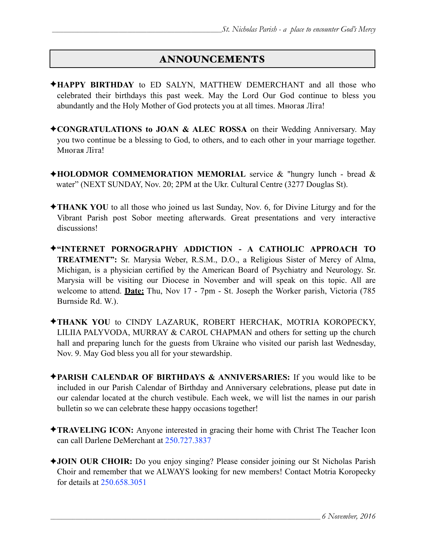## ANNOUNCEMENTS

- ✦**HAPPY BIRTHDAY** to ED SALYN, MATTHEW DEMERCHANT and all those who celebrated their birthdays this past week. May the Lord Our God continue to bless you abundantly and the Holy Mother of God protects you at all times. Многая Літа!
- ✦**CONGRATULATIONS to JOAN & ALEC ROSSA** on their Wedding Anniversary. May you two continue be a blessing to God, to others, and to each other in your marriage together. Многая Літа!
- ✦**HOLODMOR COMMEMORATION MEMORIAL** service & "hungry lunch bread & water" (NEXT SUNDAY, Nov. 20; 2PM at the Ukr. Cultural Centre (3277 Douglas St).
- ✦**THANK YOU** to all those who joined us last Sunday, Nov. 6, for Divine Liturgy and for the Vibrant Parish post Sobor meeting afterwards. Great presentations and very interactive discussions!
- ✦**"INTERNET PORNOGRAPHY ADDICTION A CATHOLIC APPROACH TO TREATMENT":** Sr. Marysia Weber, R.S.M., D.O., a Religious Sister of Mercy of Alma, Michigan, is a physician certified by the American Board of Psychiatry and Neurology. Sr. Marysia will be visiting our Diocese in November and will speak on this topic. All are welcome to attend. **Date:** Thu, Nov 17 - 7pm - St. Joseph the Worker parish, Victoria (785 Burnside Rd. W.).
- ✦**THANK YOU** to CINDY LAZARUK, ROBERT HERCHAK, MOTRIA KOROPECKY, LILIIA PALYVODA, MURRAY & CAROL CHAPMAN and others for setting up the church hall and preparing lunch for the guests from Ukraine who visited our parish last Wednesday, Nov. 9. May God bless you all for your stewardship.
- ✦**PARISH CALENDAR OF BIRTHDAYS & ANNIVERSARIES:** If you would like to be included in our Parish Calendar of Birthday and Anniversary celebrations, please put date in our calendar located at the church vestibule. Each week, we will list the names in our parish bulletin so we can celebrate these happy occasions together!
- ✦**TRAVELING ICON:** Anyone interested in gracing their home with Christ The Teacher Icon can call Darlene DeMerchant at 250.727.3837
- ✦**JOIN OUR CHOIR:** Do you enjoy singing? Please consider joining our St Nicholas Parish Choir and remember that we ALWAYS looking for new members! Contact Motria Koropecky for details at 250.658.3051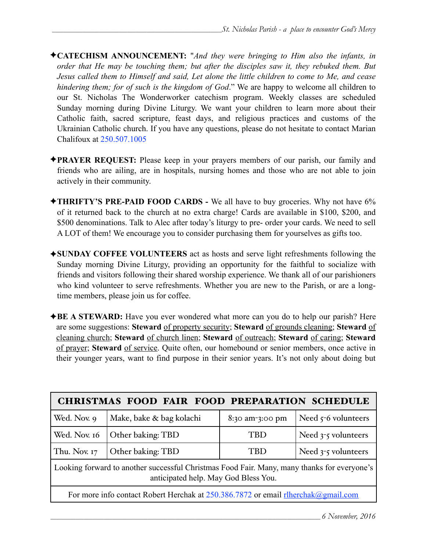- ✦**CATECHISM ANNOUNCEMENT:** "*And they were bringing to Him also the infants, in order that He may be touching them; but after the disciples saw it, they rebuked them. But Jesus called them to Himself and said, Let alone the little children to come to Me, and cease hindering them; for of such is the kingdom of God*." We are happy to welcome all children to our St. Nicholas The Wonderworker catechism program. Weekly classes are scheduled Sunday morning during Divine Liturgy. We want your children to learn more about their Catholic faith, sacred scripture, feast days, and religious practices and customs of the Ukrainian Catholic church. If you have any questions, please do not hesitate to contact Marian Chalifoux at 250.507.1005
- ✦**PRAYER REQUEST:** Please keep in your prayers members of our parish, our family and friends who are ailing, are in hospitals, nursing homes and those who are not able to join actively in their community.
- ✦**THRIFTY'S PRE-PAID FOOD CARDS** We all have to buy groceries. Why not have 6% of it returned back to the church at no extra charge! Cards are available in \$100, \$200, and \$500 denominations. Talk to Alec after today's liturgy to pre- order your cards. We need to sell A LOT of them! We encourage you to consider purchasing them for yourselves as gifts too.
- ✦**SUNDAY COFFEE VOLUNTEERS** act as hosts and serve light refreshments following the Sunday morning Divine Liturgy, providing an opportunity for the faithful to socialize with friends and visitors following their shared worship experience. We thank all of our parishioners who kind volunteer to serve refreshments. Whether you are new to the Parish, or are a longtime members, please join us for coffee.
- ✦**BE A STEWARD:** Have you ever wondered what more can you do to help our parish? Here are some suggestions: **Steward** of property security; **Steward** of grounds cleaning; **Steward** of cleaning church; **Steward** of church linen; **Steward** of outreach; **Steward** of caring; **Steward** of prayer; **Steward** of service. Quite often, our homebound or senior members, once active in their younger years, want to find purpose in their senior years. It's not only about doing but

| CHRISTMAS FOOD FAIR FOOD PREPARATION SCHEDULE                                                                                       |                          |                      |                       |  |  |  |
|-------------------------------------------------------------------------------------------------------------------------------------|--------------------------|----------------------|-----------------------|--|--|--|
| Wed. Nov. 9                                                                                                                         | Make, bake & bag kolachi | $8:30$ am- $3:00$ pm | Need $5-6$ volunteers |  |  |  |
| Wed. Nov. 16                                                                                                                        | Other baking: TBD        | TBD                  | Need $3-5$ volunteers |  |  |  |
| Thu. Nov. 17                                                                                                                        | Other baking: TBD        | TBD                  | Need 3-5 volunteers   |  |  |  |
| Looking forward to another successful Christmas Food Fair. Many, many thanks for everyone's<br>anticipated help. May God Bless You. |                          |                      |                       |  |  |  |
| For more info contact Robert Herchak at 250.386.7872 or email rlherchak@gmail.com                                                   |                          |                      |                       |  |  |  |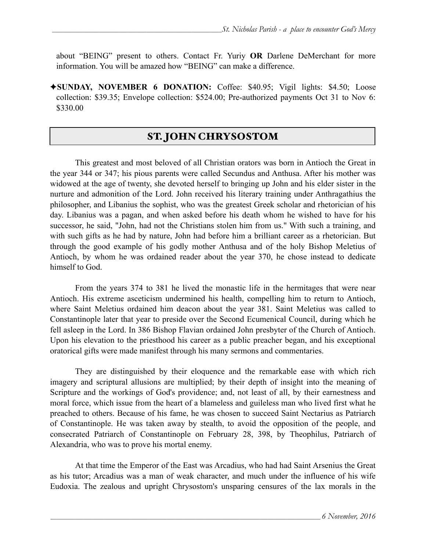about "BEING" present to others. Contact Fr. Yuriy **OR** Darlene DeMerchant for more information. You will be amazed how "BEING" can make a difference.

✦**SUNDAY, NOVEMBER 6 DONATION:** Coffee: \$40.95; Vigil lights: \$4.50; Loose collection: \$39.35; Envelope collection: \$524.00; Pre-authorized payments Oct 31 to Nov 6: \$330.00

# ST. JOHN CHRYSOSTOM

 This greatest and most beloved of all Christian orators was born in Antioch the Great in the year 344 or 347; his pious parents were called Secundus and Anthusa. After his mother was widowed at the age of twenty, she devoted herself to bringing up John and his elder sister in the nurture and admonition of the Lord. John received his literary training under Anthragathius the philosopher, and Libanius the sophist, who was the greatest Greek scholar and rhetorician of his day. Libanius was a pagan, and when asked before his death whom he wished to have for his successor, he said, "John, had not the Christians stolen him from us." With such a training, and with such gifts as he had by nature, John had before him a brilliant career as a rhetorician. But through the good example of his godly mother Anthusa and of the holy Bishop Meletius of Antioch, by whom he was ordained reader about the year 370, he chose instead to dedicate himself to God.

 From the years 374 to 381 he lived the monastic life in the hermitages that were near Antioch. His extreme asceticism undermined his health, compelling him to return to Antioch, where Saint Meletius ordained him deacon about the year 381. Saint Meletius was called to Constantinople later that year to preside over the Second Ecumenical Council, during which he fell asleep in the Lord. In 386 Bishop Flavian ordained John presbyter of the Church of Antioch. Upon his elevation to the priesthood his career as a public preacher began, and his exceptional oratorical gifts were made manifest through his many sermons and commentaries.

They are distinguished by their eloquence and the remarkable ease with which rich imagery and scriptural allusions are multiplied; by their depth of insight into the meaning of Scripture and the workings of God's providence; and, not least of all, by their earnestness and moral force, which issue from the heart of a blameless and guileless man who lived first what he preached to others. Because of his fame, he was chosen to succeed Saint Nectarius as Patriarch of Constantinople. He was taken away by stealth, to avoid the opposition of the people, and consecrated Patriarch of Constantinople on February 28, 398, by Theophilus, Patriarch of Alexandria, who was to prove his mortal enemy.

 At that time the Emperor of the East was Arcadius, who had had Saint Arsenius the Great as his tutor; Arcadius was a man of weak character, and much under the influence of his wife Eudoxia. The zealous and upright Chrysostom's unsparing censures of the lax morals in the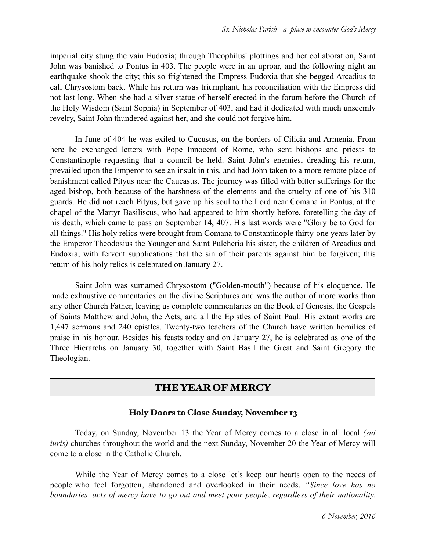imperial city stung the vain Eudoxia; through Theophilus' plottings and her collaboration, Saint John was banished to Pontus in 403. The people were in an uproar, and the following night an earthquake shook the city; this so frightened the Empress Eudoxia that she begged Arcadius to call Chrysostom back. While his return was triumphant, his reconciliation with the Empress did not last long. When she had a silver statue of herself erected in the forum before the Church of the Holy Wisdom (Saint Sophia) in September of 403, and had it dedicated with much unseemly revelry, Saint John thundered against her, and she could not forgive him.

In June of 404 he was exiled to Cucusus, on the borders of Cilicia and Armenia. From here he exchanged letters with Pope Innocent of Rome, who sent bishops and priests to Constantinople requesting that a council be held. Saint John's enemies, dreading his return, prevailed upon the Emperor to see an insult in this, and had John taken to a more remote place of banishment called Pityus near the Caucasus. The journey was filled with bitter sufferings for the aged bishop, both because of the harshness of the elements and the cruelty of one of his 310 guards. He did not reach Pityus, but gave up his soul to the Lord near Comana in Pontus, at the chapel of the Martyr Basiliscus, who had appeared to him shortly before, foretelling the day of his death, which came to pass on September 14, 407. His last words were "Glory be to God for all things." His holy relics were brought from Comana to Constantinople thirty-one years later by the Emperor Theodosius the Younger and Saint Pulcheria his sister, the children of Arcadius and Eudoxia, with fervent supplications that the sin of their parents against him be forgiven; this return of his holy relics is celebrated on January 27.

 Saint John was surnamed Chrysostom ("Golden-mouth") because of his eloquence. He made exhaustive commentaries on the divine Scriptures and was the author of more works than any other Church Father, leaving us complete commentaries on the Book of Genesis, the Gospels of Saints Matthew and John, the Acts, and all the Epistles of Saint Paul. His extant works are 1,447 sermons and 240 epistles. Twenty-two teachers of the Church have written homilies of praise in his honour. Besides his feasts today and on January 27, he is celebrated as one of the Three Hierarchs on January 30, together with Saint Basil the Great and Saint Gregory the Theologian.

# THE YEAR OF MERCY

#### Holy Doors to Close Sunday, November 13

 Today, on Sunday, November 13 the Year of Mercy comes to a close in all local *(sui iuris)* churches throughout the world and the next Sunday, November 20 the Year of Mercy will come to a close in the Catholic Church.

 While the Year of Mercy comes to a close let's keep our hearts open to the needs of people who feel forgotten, abandoned and overlooked in their needs. *"Since love has no boundaries, acts of mercy have to go out and meet poor people, regardless of their nationality,*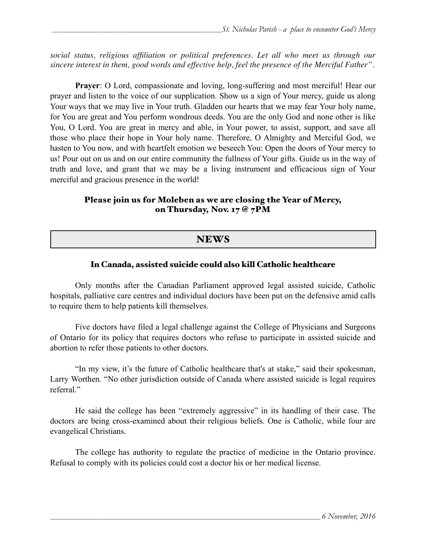*social status, religious affiliation or political preferences. Let all who meet us through our sincere interest in them, good words and effective help, feel the presence of the Merciful Father"*.

**Prayer**: O Lord, compassionate and loving, long-suffering and most merciful! Hear our prayer and listen to the voice of our supplication. Show us a sign of Your mercy, guide us along Your ways that we may live in Your truth. Gladden our hearts that we may fear Your holy name, for You are great and You perform wondrous deeds. You are the only God and none other is like You, O Lord. You are great in mercy and able, in Your power, to assist, support, and save all those who place their hope in Your holy name. Therefore, O Almighty and Merciful God, we hasten to You now, and with heartfelt emotion we beseech You: Open the doors of Your mercy to us! Pour out on us and on our entire community the fullness of Your gifts. Guide us in the way of truth and love, and grant that we may be a living instrument and efficacious sign of Your merciful and gracious presence in the world!

#### Please join us for Moleben as we are closing the Year of Mercy, on Thursday, Nov. 17 @ 7PM

## **NEWS**

#### In Canada, assisted suicide could also kill Catholic healthcare

 Only months after the Canadian Parliament approved legal assisted suicide, Catholic hospitals, palliative care centres and individual doctors have been put on the defensive amid calls to require them to help patients kill themselves.

Five doctors have filed a legal challenge against the College of Physicians and Surgeons of Ontario for its policy that requires doctors who refuse to participate in assisted suicide and abortion to refer those patients to other doctors.

"In my view, it's the future of Catholic healthcare that's at stake," said their spokesman, Larry Worthen. "No other jurisdiction outside of Canada where assisted suicide is legal requires referral"

He said the college has been "extremely aggressive" in its handling of their case. The doctors are being cross-examined about their religious beliefs. One is Catholic, while four are evangelical Christians.

The college has authority to regulate the practice of medicine in the Ontario province. Refusal to comply with its policies could cost a doctor his or her medical license.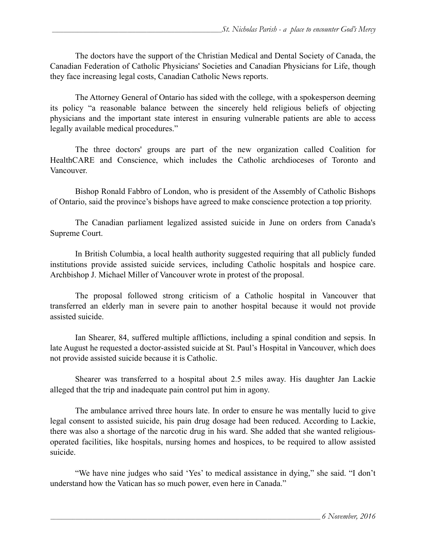The doctors have the support of the Christian Medical and Dental Society of Canada, the Canadian Federation of Catholic Physicians' Societies and Canadian Physicians for Life, though they face increasing legal costs, Canadian Catholic News reports.

The Attorney General of Ontario has sided with the college, with a spokesperson deeming its policy "a reasonable balance between the sincerely held religious beliefs of objecting physicians and the important state interest in ensuring vulnerable patients are able to access legally available medical procedures."

 The three doctors' groups are part of the new organization called Coalition for HealthCARE and Conscience, which includes the Catholic archdioceses of Toronto and Vancouver.

Bishop Ronald Fabbro of London, who is president of the Assembly of Catholic Bishops of Ontario, said the province's bishops have agreed to make conscience protection a top priority.

The Canadian parliament legalized assisted suicide in June on orders from Canada's Supreme Court.

 In British Columbia, a local health authority suggested requiring that all publicly funded institutions provide assisted suicide services, including Catholic hospitals and hospice care. Archbishop J. Michael Miller of Vancouver wrote in protest of the proposal.

The proposal followed strong criticism of a Catholic hospital in Vancouver that transferred an elderly man in severe pain to another hospital because it would not provide assisted suicide.

 Ian Shearer, 84, suffered multiple afflictions, including a spinal condition and sepsis. In late August he requested a doctor-assisted suicide at St. Paul's Hospital in Vancouver, which does not provide assisted suicide because it is Catholic.

Shearer was transferred to a hospital about 2.5 miles away. His daughter Jan Lackie alleged that the trip and inadequate pain control put him in agony.

The ambulance arrived three hours late. In order to ensure he was mentally lucid to give legal consent to assisted suicide, his pain drug dosage had been reduced. According to Lackie, there was also a shortage of the narcotic drug in his ward. She added that she wanted religiousoperated facilities, like hospitals, nursing homes and hospices, to be required to allow assisted suicide.

"We have nine judges who said 'Yes' to medical assistance in dying," she said. "I don't understand how the Vatican has so much power, even here in Canada."